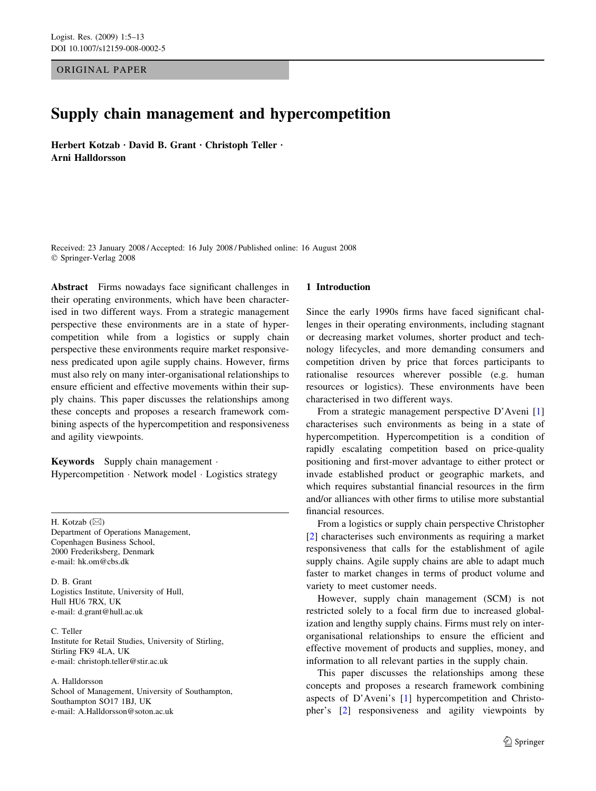ORIGINAL PAPER

# Supply chain management and hypercompetition

Herbert Kotzab · David B. Grant · Christoph Teller · Arni Halldorsson

Received: 23 January 2008 / Accepted: 16 July 2008 / Published online: 16 August 2008 Springer-Verlag 2008

Abstract Firms nowadays face significant challenges in their operating environments, which have been characterised in two different ways. From a strategic management perspective these environments are in a state of hypercompetition while from a logistics or supply chain perspective these environments require market responsiveness predicated upon agile supply chains. However, firms must also rely on many inter-organisational relationships to ensure efficient and effective movements within their supply chains. This paper discusses the relationships among these concepts and proposes a research framework combining aspects of the hypercompetition and responsiveness and agility viewpoints.

Keywords Supply chain management . Hypercompetition · Network model · Logistics strategy

H. Kotzab  $(\boxtimes)$ Department of Operations Management, Copenhagen Business School, 2000 Frederiksberg, Denmark e-mail: hk.om@cbs.dk

D. B. Grant Logistics Institute, University of Hull, Hull HU6 7RX, UK e-mail: d.grant@hull.ac.uk

C. Teller Institute for Retail Studies, University of Stirling, Stirling FK9 4LA, UK e-mail: christoph.teller@stir.ac.uk

## A. Halldorsson

School of Management, University of Southampton, Southampton SO17 1BJ, UK e-mail: A.Halldorsson@soton.ac.uk

#### 1 Introduction

Since the early 1990s firms have faced significant challenges in their operating environments, including stagnant or decreasing market volumes, shorter product and technology lifecycles, and more demanding consumers and competition driven by price that forces participants to rationalise resources wherever possible (e.g. human resources or logistics). These environments have been characterised in two different ways.

From a strategic management perspective D'Aveni [[1\]](#page-7-0) characterises such environments as being in a state of hypercompetition. Hypercompetition is a condition of rapidly escalating competition based on price-quality positioning and first-mover advantage to either protect or invade established product or geographic markets, and which requires substantial financial resources in the firm and/or alliances with other firms to utilise more substantial financial resources.

From a logistics or supply chain perspective Christopher [\[2](#page-7-0)] characterises such environments as requiring a market responsiveness that calls for the establishment of agile supply chains. Agile supply chains are able to adapt much faster to market changes in terms of product volume and variety to meet customer needs.

However, supply chain management (SCM) is not restricted solely to a focal firm due to increased globalization and lengthy supply chains. Firms must rely on interorganisational relationships to ensure the efficient and effective movement of products and supplies, money, and information to all relevant parties in the supply chain.

This paper discusses the relationships among these concepts and proposes a research framework combining aspects of D'Aveni's [\[1](#page-7-0)] hypercompetition and Christopher's [\[2](#page-7-0)] responsiveness and agility viewpoints by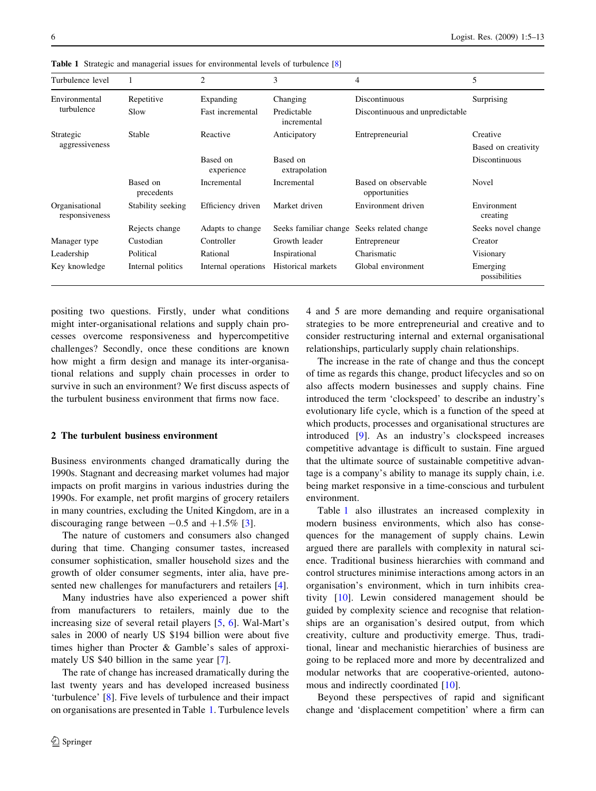| Turbulence level                 |                        | $\overline{2}$         | 3                          | $\overline{4}$                       | 5                         |
|----------------------------------|------------------------|------------------------|----------------------------|--------------------------------------|---------------------------|
| Environmental<br>turbulence      | Repetitive             | Expanding              | Changing                   | <b>Discontinuous</b>                 | Surprising                |
|                                  | Slow                   | Fast incremental       | Predictable<br>incremental | Discontinuous and unpredictable      |                           |
| Strategic<br>aggressiveness      | Stable                 | Reactive               | Anticipatory               | Entrepreneurial                      | Creative                  |
|                                  |                        |                        |                            |                                      | Based on creativity       |
|                                  |                        | Based on<br>experience | Based on<br>extrapolation  |                                      | Discontinuous             |
|                                  | Based on<br>precedents | Incremental            | Incremental                | Based on observable<br>opportunities | Novel                     |
| Organisational<br>responsiveness | Stability seeking      | Efficiency driven      | Market driven              | Environment driven                   | Environment<br>creating   |
|                                  | Rejects change         | Adapts to change       | Seeks familiar change      | Seeks related change                 | Seeks novel change        |
| Manager type                     | Custodian              | Controller             | Growth leader              | Entrepreneur                         | Creator                   |
| Leadership                       | Political              | Rational               | Inspirational              | Charismatic                          | Visionary                 |
| Key knowledge                    | Internal politics      | Internal operations    | Historical markets         | Global environment                   | Emerging<br>possibilities |

Table 1 Strategic and managerial issues for environmental levels of turbulence [[8\]](#page-7-0)

positing two questions. Firstly, under what conditions might inter-organisational relations and supply chain processes overcome responsiveness and hypercompetitive challenges? Secondly, once these conditions are known how might a firm design and manage its inter-organisational relations and supply chain processes in order to survive in such an environment? We first discuss aspects of the turbulent business environment that firms now face.

## 2 The turbulent business environment

Business environments changed dramatically during the 1990s. Stagnant and decreasing market volumes had major impacts on profit margins in various industries during the 1990s. For example, net profit margins of grocery retailers in many countries, excluding the United Kingdom, are in a discouraging range between  $-0.5$  and  $+1.5\%$  [[3\]](#page-7-0).

The nature of customers and consumers also changed during that time. Changing consumer tastes, increased consumer sophistication, smaller household sizes and the growth of older consumer segments, inter alia, have presented new challenges for manufacturers and retailers [[4\]](#page-7-0).

Many industries have also experienced a power shift from manufacturers to retailers, mainly due to the increasing size of several retail players [\[5](#page-7-0), [6](#page-7-0)]. Wal-Mart's sales in 2000 of nearly US \$194 billion were about five times higher than Procter & Gamble's sales of approximately US \$40 billion in the same year [\[7](#page-7-0)].

The rate of change has increased dramatically during the last twenty years and has developed increased business 'turbulence' [\[8](#page-7-0)]. Five levels of turbulence and their impact on organisations are presented in Table 1. Turbulence levels 4 and 5 are more demanding and require organisational strategies to be more entrepreneurial and creative and to consider restructuring internal and external organisational relationships, particularly supply chain relationships.

The increase in the rate of change and thus the concept of time as regards this change, product lifecycles and so on also affects modern businesses and supply chains. Fine introduced the term 'clockspeed' to describe an industry's evolutionary life cycle, which is a function of the speed at which products, processes and organisational structures are introduced [[9\]](#page-7-0). As an industry's clockspeed increases competitive advantage is difficult to sustain. Fine argued that the ultimate source of sustainable competitive advantage is a company's ability to manage its supply chain, i.e. being market responsive in a time-conscious and turbulent environment.

Table 1 also illustrates an increased complexity in modern business environments, which also has consequences for the management of supply chains. Lewin argued there are parallels with complexity in natural science. Traditional business hierarchies with command and control structures minimise interactions among actors in an organisation's environment, which in turn inhibits creativity [[10\]](#page-7-0). Lewin considered management should be guided by complexity science and recognise that relationships are an organisation's desired output, from which creativity, culture and productivity emerge. Thus, traditional, linear and mechanistic hierarchies of business are going to be replaced more and more by decentralized and modular networks that are cooperative-oriented, autonomous and indirectly coordinated [[10\]](#page-7-0).

Beyond these perspectives of rapid and significant change and 'displacement competition' where a firm can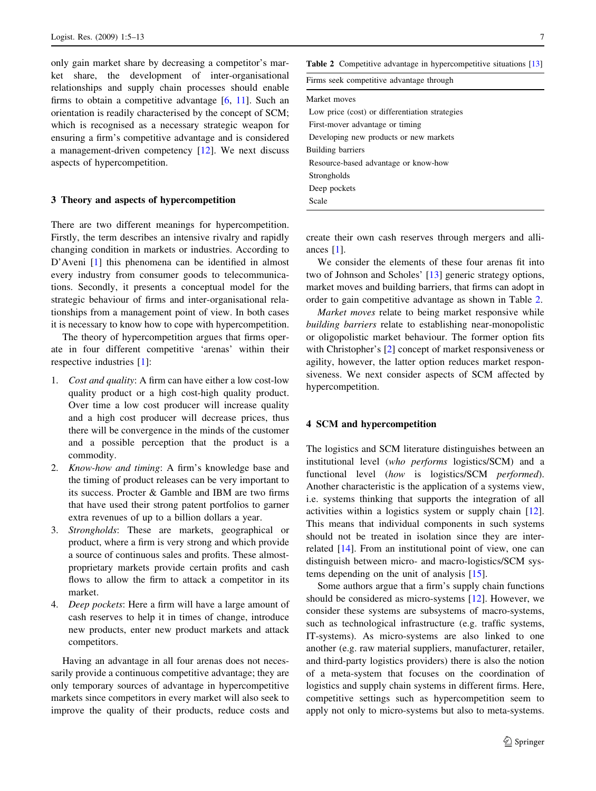<span id="page-2-0"></span>only gain market share by decreasing a competitor's market share, the development of inter-organisational relationships and supply chain processes should enable firms to obtain a competitive advantage  $[6, 11]$  $[6, 11]$  $[6, 11]$ . Such an orientation is readily characterised by the concept of SCM; which is recognised as a necessary strategic weapon for ensuring a firm's competitive advantage and is considered a management-driven competency [\[12](#page-7-0)]. We next discuss aspects of hypercompetition.

#### 3 Theory and aspects of hypercompetition

There are two different meanings for hypercompetition. Firstly, the term describes an intensive rivalry and rapidly changing condition in markets or industries. According to D'Aveni [[1\]](#page-7-0) this phenomena can be identified in almost every industry from consumer goods to telecommunications. Secondly, it presents a conceptual model for the strategic behaviour of firms and inter-organisational relationships from a management point of view. In both cases it is necessary to know how to cope with hypercompetition.

The theory of hypercompetition argues that firms operate in four different competitive 'arenas' within their respective industries [[1\]](#page-7-0):

- 1. Cost and quality: A firm can have either a low cost-low quality product or a high cost-high quality product. Over time a low cost producer will increase quality and a high cost producer will decrease prices, thus there will be convergence in the minds of the customer and a possible perception that the product is a commodity.
- 2. Know-how and timing: A firm's knowledge base and the timing of product releases can be very important to its success. Procter & Gamble and IBM are two firms that have used their strong patent portfolios to garner extra revenues of up to a billion dollars a year.
- 3. Strongholds: These are markets, geographical or product, where a firm is very strong and which provide a source of continuous sales and profits. These almostproprietary markets provide certain profits and cash flows to allow the firm to attack a competitor in its market.
- 4. Deep pockets: Here a firm will have a large amount of cash reserves to help it in times of change, introduce new products, enter new product markets and attack competitors.

Having an advantage in all four arenas does not necessarily provide a continuous competitive advantage; they are only temporary sources of advantage in hypercompetitive markets since competitors in every market will also seek to improve the quality of their products, reduce costs and

| <b>Table 2</b> Competitive advantage in hypercompetitive situations [13] |
|--------------------------------------------------------------------------|
| Firms seek competitive advantage through                                 |

| Market moves                                   |
|------------------------------------------------|
| Low price (cost) or differentiation strategies |
| First-mover advantage or timing                |
| Developing new products or new markets         |
| <b>Building barriers</b>                       |
| Resource-based advantage or know-how           |
| Strongholds                                    |
| Deep pockets                                   |
| Scale                                          |
|                                                |

create their own cash reserves through mergers and alliances [\[1](#page-7-0)].

We consider the elements of these four arenas fit into two of Johnson and Scholes' [[13\]](#page-7-0) generic strategy options, market moves and building barriers, that firms can adopt in order to gain competitive advantage as shown in Table 2.

Market moves relate to being market responsive while building barriers relate to establishing near-monopolistic or oligopolistic market behaviour. The former option fits with Christopher's [[2\]](#page-7-0) concept of market responsiveness or agility, however, the latter option reduces market responsiveness. We next consider aspects of SCM affected by hypercompetition.

### 4 SCM and hypercompetition

The logistics and SCM literature distinguishes between an institutional level (who performs logistics/SCM) and a functional level (how is logistics/SCM performed). Another characteristic is the application of a systems view, i.e. systems thinking that supports the integration of all activities within a logistics system or supply chain [\[12](#page-7-0)]. This means that individual components in such systems should not be treated in isolation since they are interrelated [\[14\]](#page-7-0). From an institutional point of view, one can distinguish between micro- and macro-logistics/SCM systems depending on the unit of analysis [[15\]](#page-7-0).

Some authors argue that a firm's supply chain functions should be considered as micro-systems [\[12](#page-7-0)]. However, we consider these systems are subsystems of macro-systems, such as technological infrastructure (e.g. traffic systems, IT-systems). As micro-systems are also linked to one another (e.g. raw material suppliers, manufacturer, retailer, and third-party logistics providers) there is also the notion of a meta-system that focuses on the coordination of logistics and supply chain systems in different firms. Here, competitive settings such as hypercompetition seem to apply not only to micro-systems but also to meta-systems.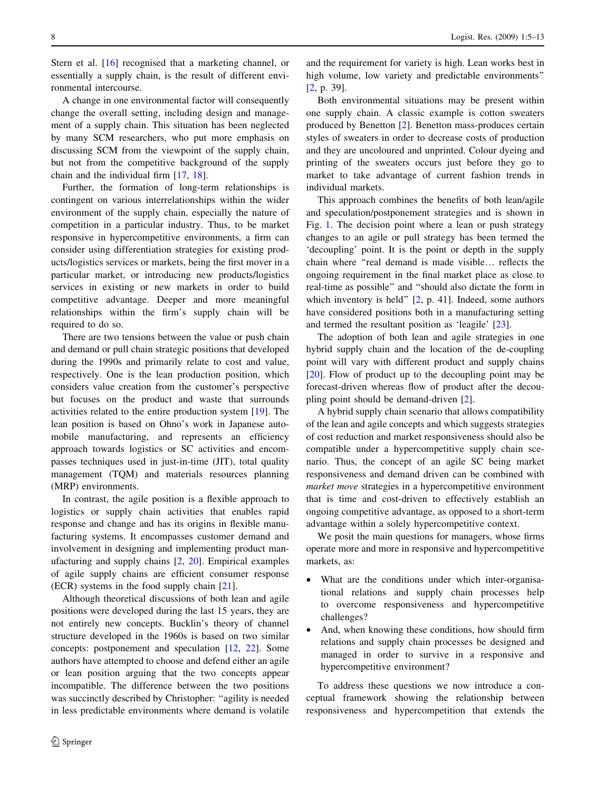Stern et al. [\[16](#page-7-0)] recognised that a marketing channel, or essentially a supply chain, is the result of different environmental intercourse.

A change in one environmental factor will consequently change the overall setting, including design and management of a supply chain. This situation has been neglected by many SCM researchers, who put more emphasis on discussing SCM from the viewpoint of the supply chain, but not from the competitive background of the supply chain and the individual firm [[17,](#page-7-0) [18\]](#page-7-0).

Further, the formation of long-term relationships is contingent on various interrelationships within the wider environment of the supply chain, especially the nature of competition in a particular industry. Thus, to be market responsive in hypercompetitive environments, a firm can consider using differentiation strategies for existing products/logistics services or markets, being the first mover in a particular market, or introducing new products/logistics services in existing or new markets in order to build competitive advantage. Deeper and more meaningful relationships within the firm's supply chain will be required to do so.

There are two tensions between the value or push chain and demand or pull chain strategic positions that developed during the 1990s and primarily relate to cost and value, respectively. One is the lean production position, which considers value creation from the customer's perspective but focuses on the product and waste that surrounds activities related to the entire production system [\[19\]](#page-7-0). The lean position is based on Ohno's work in Japanese automobile manufacturing, and represents an efficiency approach towards logistics or SC activities and encompasses techniques used in just-in-time (JIT), total quality management (TQM) and materials resources planning (MRP) environments.

In contrast, the agile position is a flexible approach to logistics or supply chain activities that enables rapid response and change and has its origins in flexible manufacturing systems. It encompasses customer demand and involvement in designing and implementing product manufacturing and supply chains [\[2](#page-7-0), [20](#page-7-0)]. Empirical examples of agile supply chains are efficient consumer response (ECR) systems in the food supply chain [\[21\]](#page-7-0).

Although theoretical discussions of both lean and agile positions were developed during the last 15 years, they are not entirely new concepts. Bucklin's theory of channel structure developed in the 1960s is based on two similar concepts: postponement and speculation [\[12](#page-7-0), [22\]](#page-7-0). Some authors have attempted to choose and defend either an agile or lean position arguing that the two concepts appear incompatible. The difference between the two positions was succinctly described by Christopher: ''agility is needed in less predictable environments where demand is volatile

and the requirement for variety is high. Lean works best in high volume, low variety and predictable environments'' [\[2](#page-7-0), p. 39].

Both environmental situations may be present within one supply chain. A classic example is cotton sweaters produced by Benetton [[2\]](#page-7-0). Benetton mass-produces certain styles of sweaters in order to decrease costs of production and they are uncoloured and unprinted. Colour dyeing and printing of the sweaters occurs just before they go to market to take advantage of current fashion trends in individual markets.

This approach combines the benefits of both lean/agile and speculation/postponement strategies and is shown in Fig. [1](#page-4-0). The decision point where a lean or push strategy changes to an agile or pull strategy has been termed the 'decoupling' point. It is the point or depth in the supply chain where ''real demand is made visible… reflects the ongoing requirement in the final market place as close to real-time as possible'' and ''should also dictate the form in which inventory is held" [[2,](#page-7-0) p. 41]. Indeed, some authors have considered positions both in a manufacturing setting and termed the resultant position as 'leagile' [[23\]](#page-7-0).

The adoption of both lean and agile strategies in one hybrid supply chain and the location of the de-coupling point will vary with different product and supply chains [\[20](#page-7-0)]. Flow of product up to the decoupling point may be forecast-driven whereas flow of product after the decoupling point should be demand-driven [[2\]](#page-7-0).

A hybrid supply chain scenario that allows compatibility of the lean and agile concepts and which suggests strategies of cost reduction and market responsiveness should also be compatible under a hypercompetitive supply chain scenario. Thus, the concept of an agile SC being market responsiveness and demand driven can be combined with market move strategies in a hypercompetitive environment that is time and cost-driven to effectively establish an ongoing competitive advantage, as opposed to a short-term advantage within a solely hypercompetitive context.

We posit the main questions for managers, whose firms operate more and more in responsive and hypercompetitive markets, as:

- What are the conditions under which inter-organisational relations and supply chain processes help to overcome responsiveness and hypercompetitive challenges?
- And, when knowing these conditions, how should firm relations and supply chain processes be designed and managed in order to survive in a responsive and hypercompetitive environment?

To address these questions we now introduce a conceptual framework showing the relationship between responsiveness and hypercompetition that extends the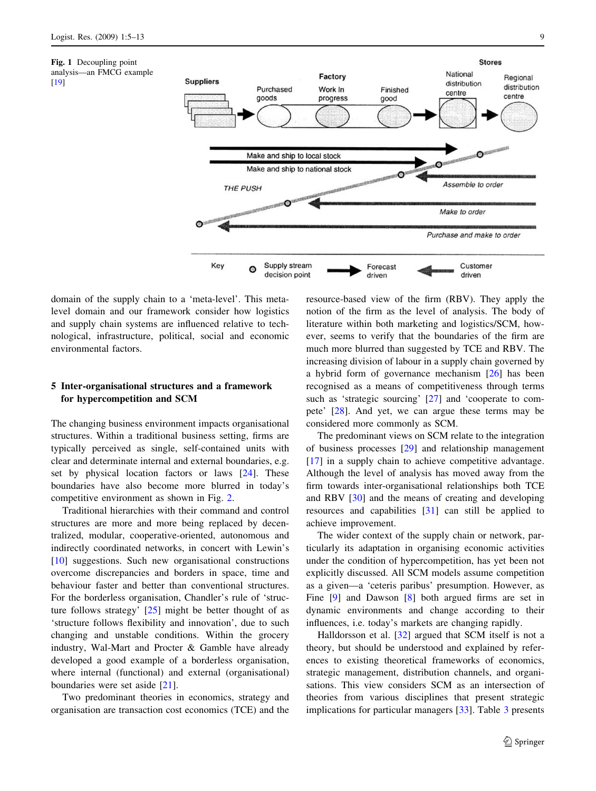<span id="page-4-0"></span>Fig. 1 Decoupling point analysis—an FMCG example [[19](#page-7-0)]



domain of the supply chain to a 'meta-level'. This metalevel domain and our framework consider how logistics and supply chain systems are influenced relative to technological, infrastructure, political, social and economic environmental factors.

## 5 Inter-organisational structures and a framework for hypercompetition and SCM

The changing business environment impacts organisational structures. Within a traditional business setting, firms are typically perceived as single, self-contained units with clear and determinate internal and external boundaries, e.g. set by physical location factors or laws [[24\]](#page-7-0). These boundaries have also become more blurred in today's competitive environment as shown in Fig. [2.](#page-5-0)

Traditional hierarchies with their command and control structures are more and more being replaced by decentralized, modular, cooperative-oriented, autonomous and indirectly coordinated networks, in concert with Lewin's [\[10](#page-7-0)] suggestions. Such new organisational constructions overcome discrepancies and borders in space, time and behaviour faster and better than conventional structures. For the borderless organisation, Chandler's rule of 'structure follows strategy'  $[25]$  $[25]$  might be better thought of as 'structure follows flexibility and innovation', due to such changing and unstable conditions. Within the grocery industry, Wal-Mart and Procter & Gamble have already developed a good example of a borderless organisation, where internal (functional) and external (organisational) boundaries were set aside [[21\]](#page-7-0).

Two predominant theories in economics, strategy and organisation are transaction cost economics (TCE) and the resource-based view of the firm (RBV). They apply the notion of the firm as the level of analysis. The body of literature within both marketing and logistics/SCM, however, seems to verify that the boundaries of the firm are much more blurred than suggested by TCE and RBV. The increasing division of labour in a supply chain governed by a hybrid form of governance mechanism [[26\]](#page-7-0) has been recognised as a means of competitiveness through terms such as 'strategic sourcing' [\[27](#page-7-0)] and 'cooperate to compete' [\[28](#page-7-0)]. And yet, we can argue these terms may be considered more commonly as SCM.

The predominant views on SCM relate to the integration of business processes [[29\]](#page-7-0) and relationship management [\[17](#page-7-0)] in a supply chain to achieve competitive advantage. Although the level of analysis has moved away from the firm towards inter-organisational relationships both TCE and RBV [\[30](#page-7-0)] and the means of creating and developing resources and capabilities [\[31](#page-8-0)] can still be applied to achieve improvement.

The wider context of the supply chain or network, particularly its adaptation in organising economic activities under the condition of hypercompetition, has yet been not explicitly discussed. All SCM models assume competition as a given—a 'ceteris paribus' presumption. However, as Fine [[9\]](#page-7-0) and Dawson [\[8](#page-7-0)] both argued firms are set in dynamic environments and change according to their influences, i.e. today's markets are changing rapidly.

Halldorsson et al. [\[32](#page-8-0)] argued that SCM itself is not a theory, but should be understood and explained by references to existing theoretical frameworks of economics, strategic management, distribution channels, and organisations. This view considers SCM as an intersection of theories from various disciplines that present strategic implications for particular managers [[33\]](#page-8-0). Table [3](#page-6-0) presents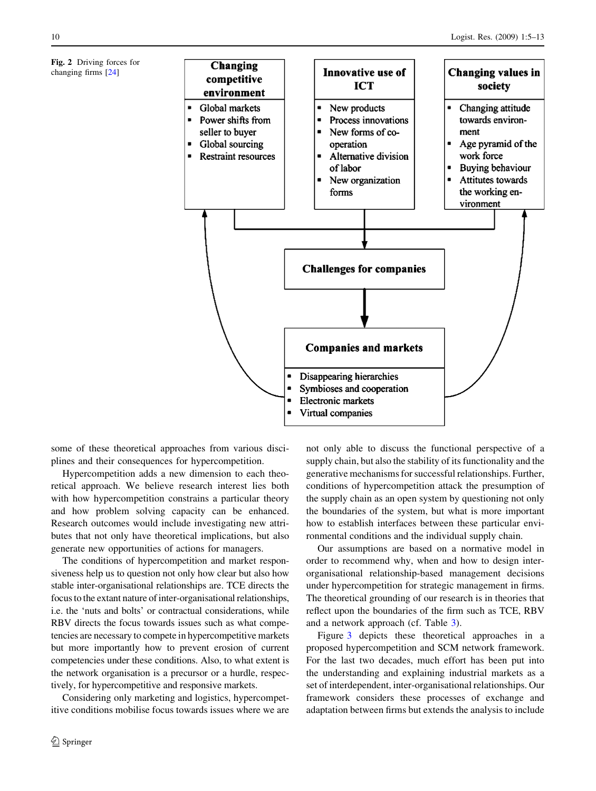<span id="page-5-0"></span>



some of these theoretical approaches from various disciplines and their consequences for hypercompetition.

Hypercompetition adds a new dimension to each theoretical approach. We believe research interest lies both with how hypercompetition constrains a particular theory and how problem solving capacity can be enhanced. Research outcomes would include investigating new attributes that not only have theoretical implications, but also generate new opportunities of actions for managers.

The conditions of hypercompetition and market responsiveness help us to question not only how clear but also how stable inter-organisational relationships are. TCE directs the focus to the extant nature of inter-organisational relationships, i.e. the 'nuts and bolts' or contractual considerations, while RBV directs the focus towards issues such as what competencies are necessary to compete in hypercompetitive markets but more importantly how to prevent erosion of current competencies under these conditions. Also, to what extent is the network organisation is a precursor or a hurdle, respectively, for hypercompetitive and responsive markets.

Considering only marketing and logistics, hypercompetitive conditions mobilise focus towards issues where we are not only able to discuss the functional perspective of a supply chain, but also the stability of its functionality and the generative mechanisms for successful relationships. Further, conditions of hypercompetition attack the presumption of the supply chain as an open system by questioning not only the boundaries of the system, but what is more important how to establish interfaces between these particular environmental conditions and the individual supply chain.

Our assumptions are based on a normative model in order to recommend why, when and how to design interorganisational relationship-based management decisions under hypercompetition for strategic management in firms. The theoretical grounding of our research is in theories that reflect upon the boundaries of the firm such as TCE, RBV and a network approach (cf. Table [3\)](#page-6-0).

Figure [3](#page-7-0) depicts these theoretical approaches in a proposed hypercompetition and SCM network framework. For the last two decades, much effort has been put into the understanding and explaining industrial markets as a set of interdependent, inter-organisational relationships. Our framework considers these processes of exchange and adaptation between firms but extends the analysis to include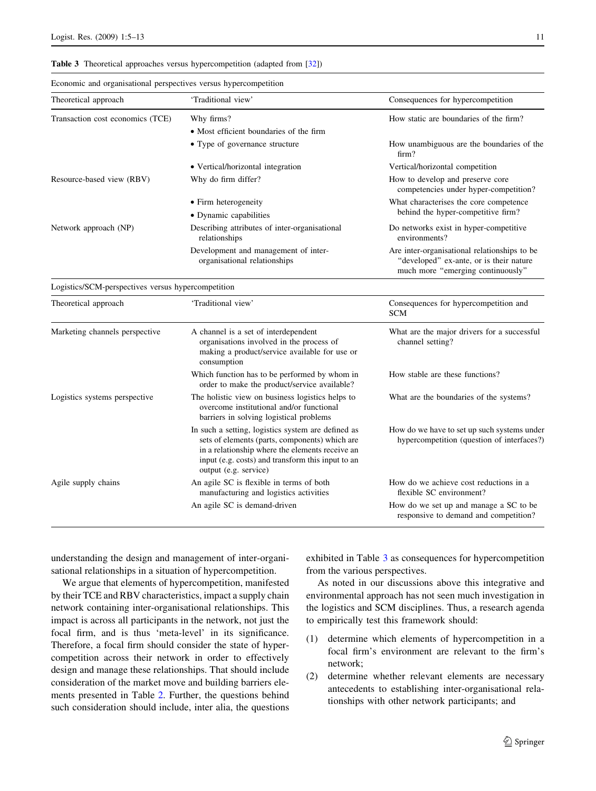| Theoretical approach                               | 'Traditional view'                                                               | Consequences for hypercompetition                                                                                            |  |
|----------------------------------------------------|----------------------------------------------------------------------------------|------------------------------------------------------------------------------------------------------------------------------|--|
| Transaction cost economics (TCE)                   | Why firms?                                                                       | How static are boundaries of the firm?                                                                                       |  |
|                                                    | • Most efficient boundaries of the firm                                          |                                                                                                                              |  |
|                                                    | • Type of governance structure                                                   | How unambiguous are the boundaries of the<br>firm?                                                                           |  |
|                                                    | • Vertical/horizontal integration                                                | Vertical/horizontal competition                                                                                              |  |
| Resource-based view (RBV)                          | Why do firm differ?                                                              | How to develop and preserve core<br>competencies under hyper-competition?                                                    |  |
|                                                    | • Firm heterogeneity                                                             | What characterises the core competence<br>behind the hyper-competitive firm?                                                 |  |
|                                                    | • Dynamic capabilities                                                           |                                                                                                                              |  |
| Network approach (NP)                              | Describing attributes of inter-organisational<br>relationships                   | Do networks exist in hyper-competitive<br>environments?                                                                      |  |
|                                                    | Development and management of inter-<br>organisational relationships             | Are inter-organisational relationships to be<br>"developed" ex-ante, or is their nature<br>much more "emerging continuously" |  |
| Logistics/SCM-perspectives versus hypercompetition |                                                                                  |                                                                                                                              |  |
| Theoretical approach                               | 'Traditional view'                                                               | Consequences for hypercompetition and<br><b>SCM</b>                                                                          |  |
| Marketing channels perspective                     | A channel is a set of interdependent<br>organisations involved in the process of | What are the major drivers for a successful<br>channel setting?                                                              |  |

<span id="page-6-0"></span>Economic and organisational perspectives versus hypercompetition

|                                                    | organisational relationships                                                                                                                                                                                                          | "developed" ex-ante, or is their nature<br>much more "emerging continuously"              |
|----------------------------------------------------|---------------------------------------------------------------------------------------------------------------------------------------------------------------------------------------------------------------------------------------|-------------------------------------------------------------------------------------------|
| Logistics/SCM-perspectives versus hypercompetition |                                                                                                                                                                                                                                       |                                                                                           |
| Theoretical approach                               | 'Traditional view'                                                                                                                                                                                                                    | Consequences for hypercompetition and<br><b>SCM</b>                                       |
| Marketing channels perspective                     | A channel is a set of interdependent<br>organisations involved in the process of<br>making a product/service available for use or<br>consumption                                                                                      | What are the major drivers for a successful<br>channel setting?                           |
|                                                    | Which function has to be performed by whom in<br>order to make the product/service available?                                                                                                                                         | How stable are these functions?                                                           |
| Logistics systems perspective                      | The holistic view on business logistics helps to<br>overcome institutional and/or functional<br>barriers in solving logistical problems                                                                                               | What are the boundaries of the systems?                                                   |
|                                                    | In such a setting, logistics system are defined as<br>sets of elements (parts, components) which are<br>in a relationship where the elements receive an<br>input (e.g. costs) and transform this input to an<br>output (e.g. service) | How do we have to set up such systems under<br>hypercompetition (question of interfaces?) |
| Agile supply chains                                | An agile SC is flexible in terms of both<br>manufacturing and logistics activities                                                                                                                                                    | How do we achieve cost reductions in a<br>flexible SC environment?                        |
|                                                    | An agile SC is demand-driven                                                                                                                                                                                                          | How do we set up and manage a SC to be<br>responsive to demand and competition?           |

understanding the design and management of inter-organisational relationships in a situation of hypercompetition.

We argue that elements of hypercompetition, manifested by their TCE and RBV characteristics, impact a supply chain network containing inter-organisational relationships. This impact is across all participants in the network, not just the focal firm, and is thus 'meta-level' in its significance. Therefore, a focal firm should consider the state of hypercompetition across their network in order to effectively design and manage these relationships. That should include consideration of the market move and building barriers elements presented in Table [2](#page-2-0). Further, the questions behind such consideration should include, inter alia, the questions exhibited in Table 3 as consequences for hypercompetition from the various perspectives.

As noted in our discussions above this integrative and environmental approach has not seen much investigation in the logistics and SCM disciplines. Thus, a research agenda to empirically test this framework should:

- (1) determine which elements of hypercompetition in a focal firm's environment are relevant to the firm's network;
- (2) determine whether relevant elements are necessary antecedents to establishing inter-organisational relationships with other network participants; and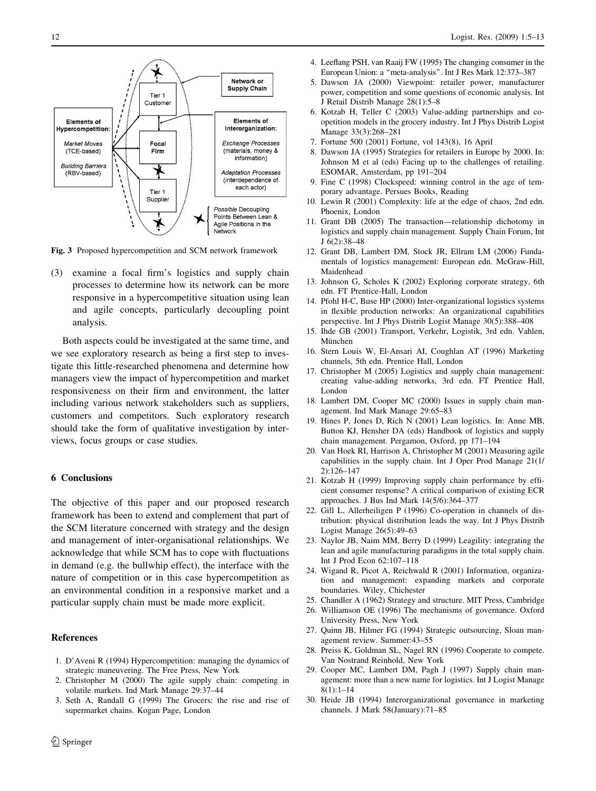<span id="page-7-0"></span>

Fig. 3 Proposed hypercompetition and SCM network framework

(3) examine a focal firm's logistics and supply chain processes to determine how its network can be more responsive in a hypercompetitive situation using lean and agile concepts, particularly decoupling point analysis.

Both aspects could be investigated at the same time, and we see exploratory research as being a first step to investigate this little-researched phenomena and determine how managers view the impact of hypercompetition and market responsiveness on their firm and environment, the latter including various network stakeholders such as suppliers, customers and competitors. Such exploratory research should take the form of qualitative investigation by interviews, focus groups or case studies.

#### 6 Conclusions

The objective of this paper and our proposed research framework has been to extend and complement that part of the SCM literature concerned with strategy and the design and management of inter-organisational relationships. We acknowledge that while SCM has to cope with fluctuations in demand (e.g. the bullwhip effect), the interface with the nature of competition or in this case hypercompetition as an environmental condition in a responsive market and a particular supply chain must be made more explicit.

#### References

- 1. D'Aveni R (1994) Hypercompetition: managing the dynamics of strategic maneuvering. The Free Press, New York
- 2. Christopher M (2000) The agile supply chain: competing in volatile markets. Ind Mark Manage 29:37–44
- 3. Seth A, Randall G (1999) The Grocers: the rise and rise of supermarket chains. Kogan Page, London
- 4. Leeflang PSH, van Raaij FW (1995) The changing consumer in the European Union: a ''meta-analysis''. Int J Res Mark 12:373–387
- 5. Dawson JA (2000) Viewpoint: retailer power, manufacturer power, competition and some questions of economic analysis. Int J Retail Distrib Manage 28(1):5–8
- 6. Kotzab H, Teller C (2003) Value-adding partnerships and coopetition models in the grocery industry. Int J Phys Distrib Logist Manage 33(3):268–281
- 7. Fortune 500 (2001) Fortune, vol 143(8), 16 April
- 8. Dawson JA (1995) Strategies for retailers in Europe by 2000. In: Johnson M et al (eds) Facing up to the challenges of retailing. ESOMAR, Amsterdam, pp 191–204
- 9. Fine C (1998) Clockspeed: winning control in the age of temporary advantage. Persues Books, Reading
- 10. Lewin R (2001) Complexity: life at the edge of chaos, 2nd edn. Phoenix, London
- 11. Grant DB (2005) The transaction—relationship dichotomy in logistics and supply chain management. Supply Chain Forum, Int J 6(2):38–48
- 12. Grant DB, Lambert DM, Stock JR, Ellram LM (2006) Fundamentals of logistics management: European edn. McGraw-Hill, Maidenhead
- 13. Johnson G, Scholes K (2002) Exploring corporate strategy, 6th edn. FT Prentice-Hall, London
- 14. Pfohl H-C, Buse HP (2000) Inter-organizational logistics systems in flexible production networks: An organizational capabilities perspective. Int J Phys Distrib Logist Manage 30(5):388–408
- 15. Ihde GB (2001) Transport, Verkehr, Logistik, 3rd edn. Vahlen, München
- 16. Stern Louis W, El-Ansari AI, Coughlan AT (1996) Marketing channels, 5th edn. Prentice Hall, London
- 17. Christopher M (2005) Logistics and supply chain management: creating value-adding networks, 3rd edn. FT Prentice Hall, London
- 18. Lambert DM, Cooper MC (2000) Issues in supply chain management. Ind Mark Manage 29:65–83
- 19. Hines P, Jones D, Rich N (2001) Lean logistics. In: Anne MB, Button KJ, Hensher DA (eds) Handbook of logistics and supply chain management. Pergamon, Oxford, pp 171–194
- 20. Van Hoek RI, Harrison A, Christopher M (2001) Measuring agile capabilities in the supply chain. Int J Oper Prod Manage 21(1/ 2):126–147
- 21. Kotzab H (1999) Improving supply chain performance by efficient consumer response? A critical comparison of existing ECR approaches. J Bus Ind Mark 14(5/6):364–377
- 22. Gill L, Allerheiligen P (1996) Co-operation in channels of distribution: physical distribution leads the way. Int J Phys Distrib Logist Manage 26(5):49–63
- 23. Naylor JB, Naim MM, Berry D (1999) Leagility: integrating the lean and agile manufacturing paradigms in the total supply chain. Int J Prod Econ 62:107–118
- 24. Wigand R, Picot A, Reichwald R (2001) Information, organization and management: expanding markets and corporate boundaries. Wiley, Chichester
- 25. Chandler A (1962) Strategy and structure. MIT Press, Cambridge
- 26. Williamson OE (1996) The mechanisms of governance. Oxford University Press, New York
- 27. Quinn JB, Hilmer FG (1994) Strategic outsourcing, Sloan management review. Summer:43–55
- 28. Preiss K, Goldman SL, Nagel RN (1996) Cooperate to compete. Van Nostrand Reinhold, New York
- 29. Cooper MC, Lambert DM, Pagh J (1997) Supply chain management: more than a new name for logistics. Int J Logist Manage 8(1):1–14
- 30. Heide JB (1994) Interorganizational governance in marketing channels. J Mark 58(January):71–85